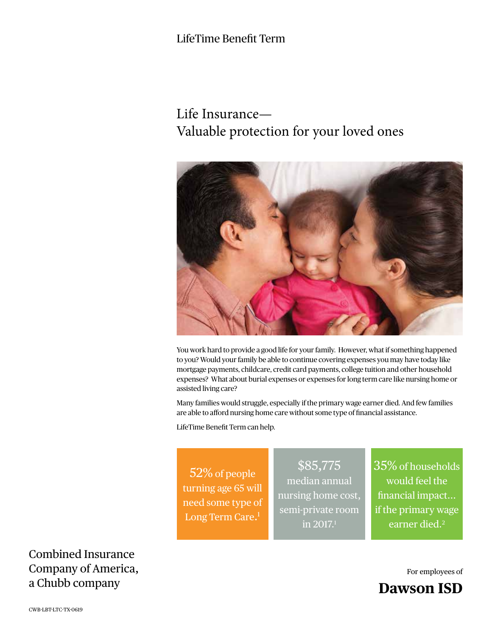# LifeTime Benefit Term

# Life Insurance— Valuable protection for your loved ones



You work hard to provide a good life for your family. However, what if something happened to you? Would your family be able to continue covering expenses you may have today like mortgage payments, childcare, credit card payments, college tuition and other household expenses? What about burial expenses or expenses for long term care like nursing home or assisted living care?

Many families would struggle, especially if the primary wage earner died. And few families are able to afford nursing home care without some type of financial assistance.

LifeTime Benefit Term can help.

52% of people turning age 65 will need some type of Long Term Care. 1

\$85,775 median annual nursing home cost, semi-private room in 2017.1

35% of households would feel the financial impact... if the primary wage earner died.<sup>2</sup>

For employees of **Dawson ISD**

Combined Insurance Company of America, a Chubb company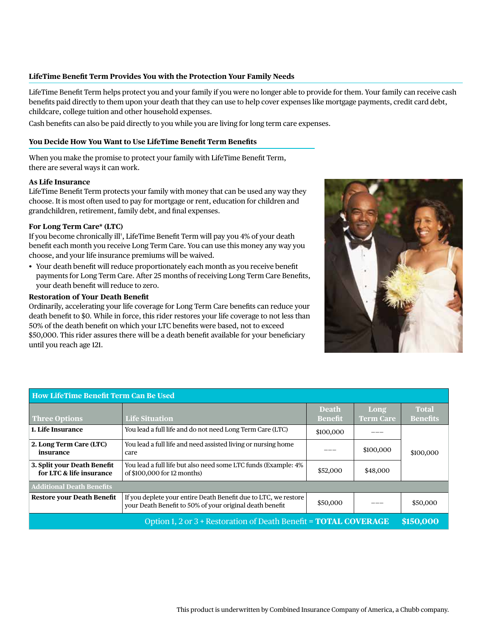# **LifeTime Benefit Term Provides You with the Protection Your Family Needs**

LifeTime Benefit Term helps protect you and your family if you were no longer able to provide for them. Your family can receive cash benefits paid directly to them upon your death that they can use to help cover expenses like mortgage payments, credit card debt, childcare, college tuition and other household expenses.

Cash benefits can also be paid directly to you while you are living for long term care expenses.

# **You Decide How You Want to Use LifeTime Benefit Term Benefits**

When you make the promise to protect your family with LifeTime Benefit Term, there are several ways it can work.

#### **As Life Insurance**

LifeTime Benefit Term protects your family with money that can be used any way they choose. It is most often used to pay for mortgage or rent, education for children and grandchildren, retirement, family debt, and final expenses.

# **For Long Term Care\* (LTC)**

If you become chronically ill† , LifeTime Benefit Term will pay you 4% of your death benefit each month you receive Long Term Care. You can use this money any way you choose, and your life insurance premiums will be waived.

• Your death benefit will reduce proportionately each month as you receive benefit payments for Long Term Care. After 25 months of receiving Long Term Care Benefits, your death benefit will reduce to zero.

# **Restoration of Your Death Benefit**

Ordinarily, accelerating your life coverage for Long Term Care benefits can reduce your death benefit to \$0. While in force, this rider restores your life coverage to not less than 50% of the death benefit on which your LTC benefits were based, not to exceed \$50,000. This rider assures there will be a death benefit available for your beneficiary until you reach age 121.



| How LifeTime Benefit Term Can Be Used                                   |                                                                                                                             |                                |                          |                                 |
|-------------------------------------------------------------------------|-----------------------------------------------------------------------------------------------------------------------------|--------------------------------|--------------------------|---------------------------------|
| Three Options                                                           | <b>Life Situation</b>                                                                                                       | <b>Death</b><br><b>Benefit</b> | Long<br><b>Term Care</b> | <b>Total</b><br><b>Benefits</b> |
| 1. Life Insurance                                                       | You lead a full life and do not need Long Term Care (LTC)                                                                   | \$100,000                      |                          | \$100,000                       |
| 2. Long Term Care (LTC)<br>insurance                                    | You lead a full life and need assisted living or nursing home<br>care                                                       |                                | \$100,000                |                                 |
| 3. Split your Death Benefit<br>for LTC & life insurance                 | You lead a full life but also need some LTC funds (Example: 4%<br>of \$100,000 for 12 months)                               | \$52,000                       | \$48,000                 |                                 |
| <b>Additional Death Benefits</b>                                        |                                                                                                                             |                                |                          |                                 |
| <b>Restore your Death Benefit</b>                                       | If you deplete your entire Death Benefit due to LTC, we restore<br>your Death Benefit to 50% of your original death benefit | \$50,000                       |                          | \$50,000                        |
| Option 1, 2 or 3 + Restoration of Death Benefit = <b>TOTAL COVERAGE</b> |                                                                                                                             |                                |                          | \$150,000                       |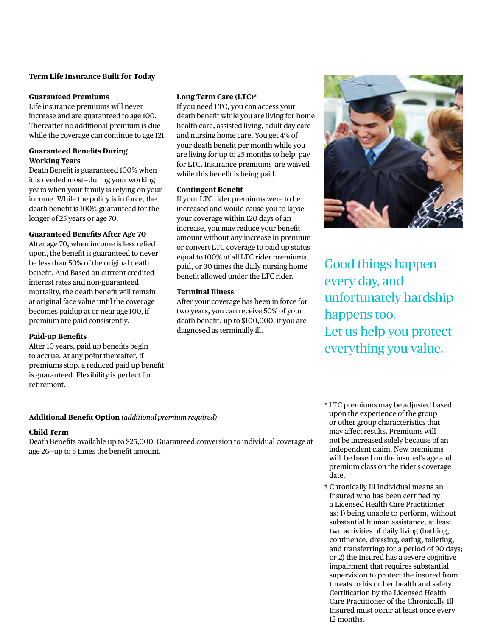# **Guaranteed Premiums**

Life insurance premiums will never increase and are guaranteed to age 100. Thereafter no additional premium is due while the coverage can continue to age 121.

# **Guaranteed Benefits During Working Years**

Death Benefit is guaranteed 100% when it is needed most—during your working years when your family is relying on your income. While the policy is in force, the death benefit is 100% guaranteed for the longer of 25 years or age 70.

# **Guaranteed Benefits After Age 70**

After age 70, when income is less relied upon, the benefit is guaranteed to never be less than 50% of the original death benefit. And Based on current credited interest rates and non-guaranteed mortality, the death benefit will remain at original face value until the coverage becomes paidup at or near age 100, if premium are paid consistently.

# **Paid-up Benefits**

After 10 years, paid up benefits begin to accrue. At any point thereafter, if premiums stop, a reduced paid up benefit is guaranteed. Flexibility is perfect for retirement.

# **Long Term Care (LTC)\***

If you need LTC, you can access your death benefit while you are living for home health care, assisted living, adult day care and nursing home care. You get 4% of your death benefit per month while you are living for up to 25 months to help pay for LTC. Insurance premiums are waived while this benefit is being paid.

# **Contingent Benefit**

If your LTC rider premiums were to be increased and would cause you to lapse your coverage within 120 days of an increase, you may reduce your benefit amount without any increase in premium or convert LTC coverage to paid up status equal to 100% of all LTC rider premiums paid, or 30 times the daily nursing home benefit allowed under the LTC rider.

# **Terminal Illness**

After your coverage has been in force for two years, you can receive 50% of your death benefit, up to \$100,000, if you are diagnosed as terminally ill.



Good things happen every day, and unfortunately hardship happens too. Let us help you protect everything you value.

# **Additional Benefit Option** *(additional premium required)*

#### **Child Term**

Death Benefits available up to \$25,000. Guaranteed conversion to individual coverage at age 26—up to 5 times the benefit amount.

- \* LTC premiums may be adjusted based upon the experience of the group or other group characteristics that may affect results. Premiums will not be increased solely because of an independent claim. New premiums will be based on the insured's age and premium class on the rider's coverage date.
- † Chronically Ill Individual means an Insured who has been certified by a Licensed Health Care Practitioner as: 1) being unable to perform, without substantial human assistance, at least two activities of daily living (bathing, continence, dressing, eating, toileting, and transferring) for a period of 90 days; or 2) the Insured has a severe cognitive impairment that requires substantial supervision to protect the insured from threats to his or her health and safety. Certification by the Licensed Health Care Practitioner of the Chronically Ill Insured must occur at least once every 12 months.